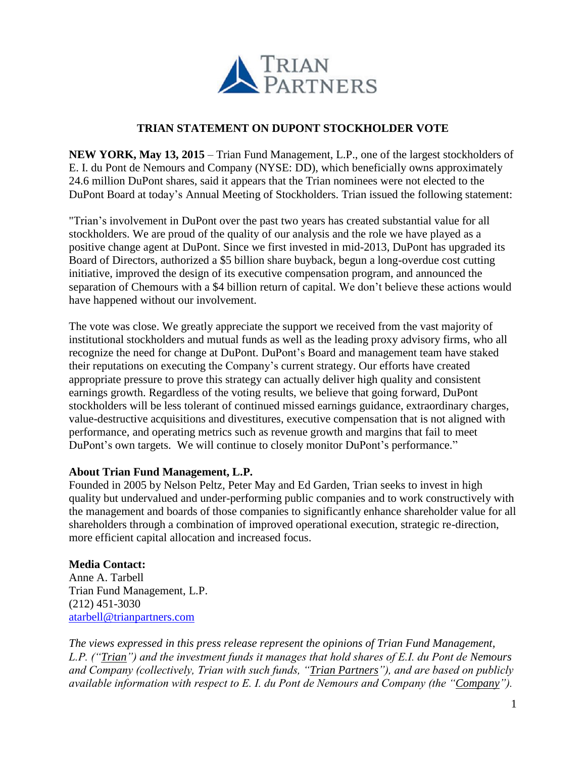

## **TRIAN STATEMENT ON DUPONT STOCKHOLDER VOTE**

**NEW YORK, May 13, 2015** – Trian Fund Management, L.P., one of the largest stockholders of E. I. du Pont de Nemours and Company (NYSE: DD), which beneficially owns approximately 24.6 million DuPont shares, said it appears that the Trian nominees were not elected to the DuPont Board at today's Annual Meeting of Stockholders. Trian issued the following statement:

"Trian's involvement in DuPont over the past two years has created substantial value for all stockholders. We are proud of the quality of our analysis and the role we have played as a positive change agent at DuPont. Since we first invested in mid-2013, DuPont has upgraded its Board of Directors, authorized a \$5 billion share buyback, begun a long-overdue cost cutting initiative, improved the design of its executive compensation program, and announced the separation of Chemours with a \$4 billion return of capital. We don't believe these actions would have happened without our involvement.

The vote was close. We greatly appreciate the support we received from the vast majority of institutional stockholders and mutual funds as well as the leading proxy advisory firms, who all recognize the need for change at DuPont. DuPont's Board and management team have staked their reputations on executing the Company's current strategy. Our efforts have created appropriate pressure to prove this strategy can actually deliver high quality and consistent earnings growth. Regardless of the voting results, we believe that going forward, DuPont stockholders will be less tolerant of continued missed earnings guidance, extraordinary charges, value-destructive acquisitions and divestitures, executive compensation that is not aligned with performance, and operating metrics such as revenue growth and margins that fail to meet DuPont's own targets. We will continue to closely monitor DuPont's performance."

## **About Trian Fund Management, L.P.**

Founded in 2005 by Nelson Peltz, Peter May and Ed Garden, Trian seeks to invest in high quality but undervalued and under-performing public companies and to work constructively with the management and boards of those companies to significantly enhance shareholder value for all shareholders through a combination of improved operational execution, strategic re-direction, more efficient capital allocation and increased focus.

## **Media Contact:**

Anne A. Tarbell Trian Fund Management, L.P. (212) 451-3030 [atarbell@trianpartners.com](mailto:atarbell@trianpartners.com)

*The views expressed in this press release represent the opinions of Trian Fund Management, L.P. ("Trian") and the investment funds it manages that hold shares of E.I. du Pont de Nemours and Company (collectively, Trian with such funds, "Trian Partners"), and are based on publicly available information with respect to E. I. du Pont de Nemours and Company (the "Company").*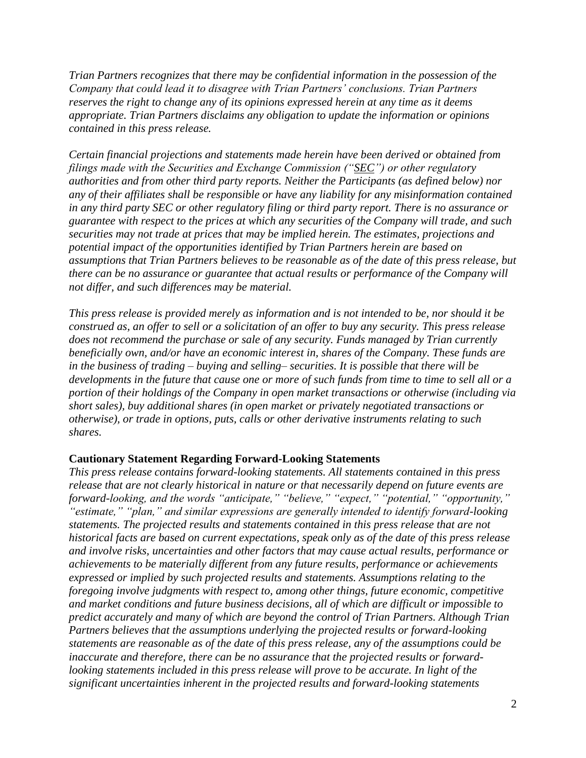*Trian Partners recognizes that there may be confidential information in the possession of the Company that could lead it to disagree with Trian Partners' conclusions. Trian Partners reserves the right to change any of its opinions expressed herein at any time as it deems appropriate. Trian Partners disclaims any obligation to update the information or opinions contained in this press release.*

*Certain financial projections and statements made herein have been derived or obtained from filings made with the Securities and Exchange Commission ("SEC") or other regulatory authorities and from other third party reports. Neither the Participants (as defined below) nor any of their affiliates shall be responsible or have any liability for any misinformation contained in any third party SEC or other regulatory filing or third party report. There is no assurance or guarantee with respect to the prices at which any securities of the Company will trade, and such securities may not trade at prices that may be implied herein. The estimates, projections and potential impact of the opportunities identified by Trian Partners herein are based on assumptions that Trian Partners believes to be reasonable as of the date of this press release, but there can be no assurance or guarantee that actual results or performance of the Company will not differ, and such differences may be material.*

*This press release is provided merely as information and is not intended to be, nor should it be construed as, an offer to sell or a solicitation of an offer to buy any security. This press release does not recommend the purchase or sale of any security. Funds managed by Trian currently beneficially own, and/or have an economic interest in, shares of the Company. These funds are in the business of trading – buying and selling– securities. It is possible that there will be developments in the future that cause one or more of such funds from time to time to sell all or a portion of their holdings of the Company in open market transactions or otherwise (including via short sales), buy additional shares (in open market or privately negotiated transactions or otherwise), or trade in options, puts, calls or other derivative instruments relating to such shares.*

## **Cautionary Statement Regarding Forward-Looking Statements**

*This press release contains forward-looking statements. All statements contained in this press release that are not clearly historical in nature or that necessarily depend on future events are forward-looking, and the words "anticipate," "believe," "expect," "potential," "opportunity," "estimate," "plan," and similar expressions are generally intended to identify forward-looking statements. The projected results and statements contained in this press release that are not historical facts are based on current expectations, speak only as of the date of this press release and involve risks, uncertainties and other factors that may cause actual results, performance or achievements to be materially different from any future results, performance or achievements expressed or implied by such projected results and statements. Assumptions relating to the foregoing involve judgments with respect to, among other things, future economic, competitive and market conditions and future business decisions, all of which are difficult or impossible to predict accurately and many of which are beyond the control of Trian Partners. Although Trian Partners believes that the assumptions underlying the projected results or forward-looking statements are reasonable as of the date of this press release, any of the assumptions could be inaccurate and therefore, there can be no assurance that the projected results or forwardlooking statements included in this press release will prove to be accurate. In light of the significant uncertainties inherent in the projected results and forward-looking statements*